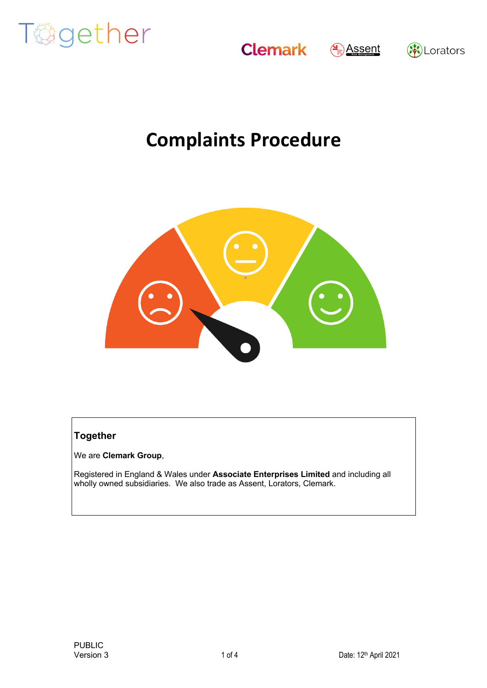







## **Complaints Procedure**



#### **Together**

We are **Clemark Group**,

Registered in England & Wales under **Associate Enterprises Limited** and including all wholly owned subsidiaries. We also trade as Assent, Lorators, Clemark.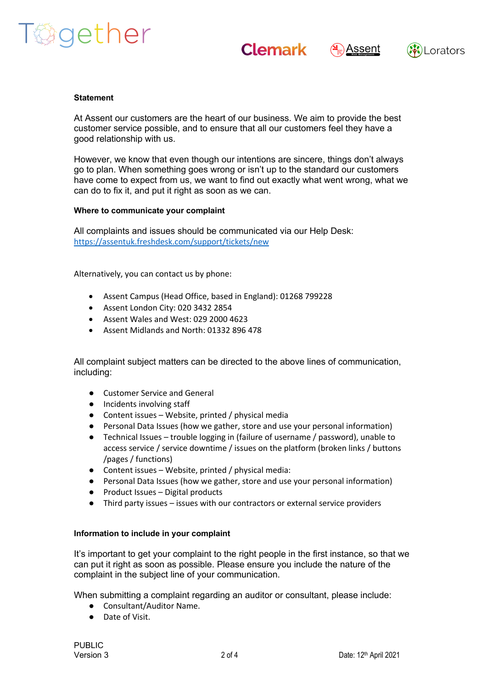



$$
\bigcirc \hspace{-1.5mm} \bigr) \text{Assent}
$$



#### **Statement**

At Assent our customers are the heart of our business. We aim to provide the best customer service possible, and to ensure that all our customers feel they have a good relationship with us.

However, we know that even though our intentions are sincere, things don't always go to plan. When something goes wrong or isn't up to the standard our customers have come to expect from us, we want to find out exactly what went wrong, what we can do to fix it, and put it right as soon as we can.

#### **Where to communicate your complaint**

All complaints and issues should be communicated via our Help Desk: https://assentuk.freshdesk.com/support/tickets/new

Alternatively, you can contact us by phone:

- Assent Campus (Head Office, based in England): 01268 799228
- Assent London City: 020 3432 2854
- Assent Wales and West: 029 2000 4623
- Assent Midlands and North: 01332 896 478

All complaint subject matters can be directed to the above lines of communication, including:

- Customer Service and General
- Incidents involving staff
- Content issues Website, printed / physical media
- Personal Data Issues (how we gather, store and use your personal information)
- Technical Issues trouble logging in (failure of username / password), unable to access service / service downtime / issues on the platform (broken links / buttons /pages / functions)
- Content issues Website, printed / physical media:
- Personal Data Issues (how we gather, store and use your personal information)
- Product Issues Digital products
- Third party issues issues with our contractors or external service providers

#### **Information to include in your complaint**

It's important to get your complaint to the right people in the first instance, so that we can put it right as soon as possible. Please ensure you include the nature of the complaint in the subject line of your communication.

When submitting a complaint regarding an auditor or consultant, please include:

- Consultant/Auditor Name.
- Date of Visit.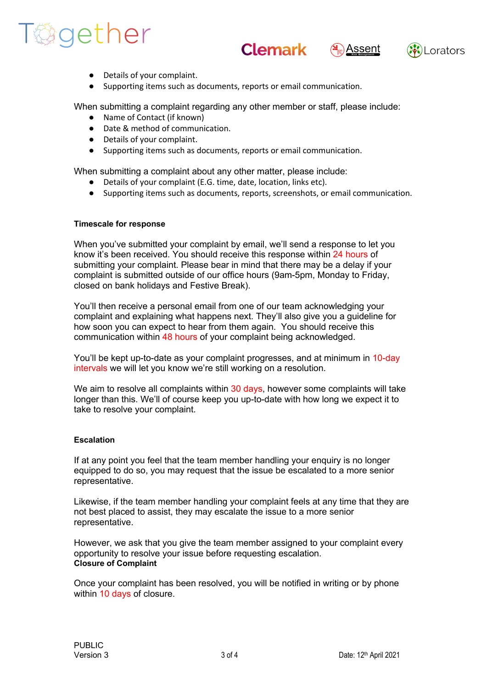# Tagether







- Details of your complaint.
- Supporting items such as documents, reports or email communication.

When submitting a complaint regarding any other member or staff, please include:

- Name of Contact (if known)
- Date & method of communication.
- Details of your complaint.
- Supporting items such as documents, reports or email communication.

When submitting a complaint about any other matter, please include:

- Details of your complaint (E.G. time, date, location, links etc).
- Supporting items such as documents, reports, screenshots, or email communication.

#### **Timescale for response**

When you've submitted your complaint by email, we'll send a response to let you know it's been received. You should receive this response within 24 hours of submitting your complaint. Please bear in mind that there may be a delay if your complaint is submitted outside of our office hours (9am-5pm, Monday to Friday, closed on bank holidays and Festive Break).

You'll then receive a personal email from one of our team acknowledging your complaint and explaining what happens next. They'll also give you a guideline for how soon you can expect to hear from them again. You should receive this communication within 48 hours of your complaint being acknowledged.

You'll be kept up-to-date as your complaint progresses, and at minimum in 10-day intervals we will let you know we're still working on a resolution.

We aim to resolve all complaints within 30 days, however some complaints will take longer than this. We'll of course keep you up-to-date with how long we expect it to take to resolve your complaint.

#### **Escalation**

If at any point you feel that the team member handling your enquiry is no longer equipped to do so, you may request that the issue be escalated to a more senior representative.

Likewise, if the team member handling your complaint feels at any time that they are not best placed to assist, they may escalate the issue to a more senior representative.

However, we ask that you give the team member assigned to your complaint every opportunity to resolve your issue before requesting escalation. **Closure of Complaint**

Once your complaint has been resolved, you will be notified in writing or by phone within 10 days of closure.